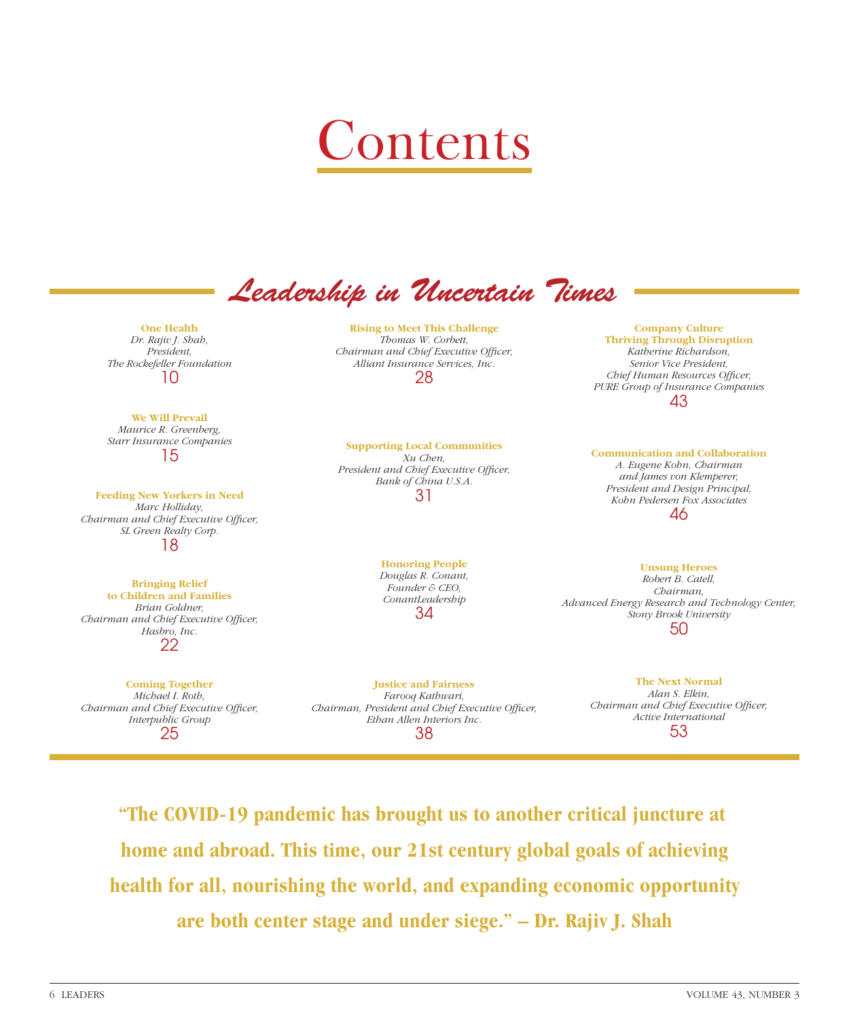

*Leadership in Uncertain Times*

**One Health**  *Dr. Rajiv J. Shah, Pre sident, The Rockefeller Foundation* 10

**We Will Prevail** *Maurice R. Greenberg, Starr Insurance Companies* 15

**Feeding New Yorkers in Need** *Marc Holliday, Chairman and Chief Executive Officer, SL Green Realty Corp.* 18

**Bringing Relief to Children and Families** *Brian Goldner, Chairman and Chief Executive Officer, Hasbro, Inc.* 22

**Coming Together** *Michael I. Roth, Chairman and Chief Executive Officer, Interpublic Group* 25

**Rising to Meet This Challenge** *Thomas W. Corbett, Chairman and Chief Executive Officer, Alliant Insurance Services, Inc.* 28

**Supporting Local Communities** *Xu Chen,*  **President and Chief Executive Officer,** *Bank of China U.S.A.* 31

> **Honoring People** *Douglas R. Conant, Founder & CEO, ConantLeadership* 34

**Justice and Fairness** *Farooq Kathwari, Chairman, President and Chief Executive Officer, Ethan Allen Interiors Inc.* 38

**Company Culture Thriving Through Disruption** *Katherine Richardson, Senior Vice President,*  **Chief Human Resources Officer,** *PURE Group of Insurance Companies* 43

**Communication and Collaboration** *A. Eugene Kohn, Chairman and James von Klemperer, President and Design Principal, Kohn Pedersen Fox Associates* 46

**Unsung Heroes**

*Robert B. Catell, Chairman, Advanced Energy Research and Technology Center, Stony Brook University* 50

> **The Next Normal** *Alan S. Elkin, Chairman and Chief Executive Officer, Active International* 53

**"The COVID-19 pandemic has brought us to another critical juncture at home and abroad. This time, our 21st century global goals of achieving health for all, nourishing the world, and expanding economic opportunity are both center stage and under siege." – Dr. Rajiv J. Shah**